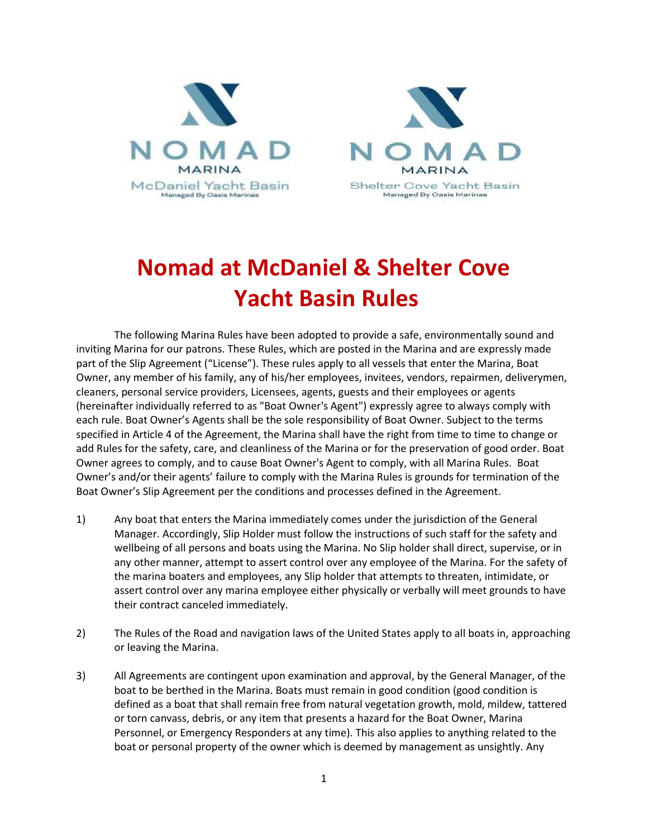

## **Nomad at McDaniel & Shelter Cove Yacht Basin Rules**

The following Marina Rules have been adopted to provide a safe, environmentally sound and inviting Marina for our patrons. These Rules, which are posted in the Marina and are expressly made part of the Slip Agreement ("License"). These rules apply to all vessels that enter the Marina, Boat Owner, any member of his family, any of his/her employees, invitees, vendors, repairmen, deliverymen, cleaners, personal service providers, Licensees, agents, guests and their employees or agents (hereinafter individually referred to as "Boat Owner's Agent") expressly agree to always comply with each rule. Boat Owner's Agents shall be the sole responsibility of Boat Owner. Subject to the terms specified in Article 4 of the Agreement, the Marina shall have the right from time to time to change or add Rules for the safety, care, and cleanliness of the Marina or for the preservation of good order. Boat Owner agrees to comply, and to cause Boat Owner's Agent to comply, with all Marina Rules. Boat Owner's and/or their agents' failure to comply with the Marina Rules is grounds for termination of the Boat Owner's Slip Agreement per the conditions and processes defined in the Agreement.

- 1) Any boat that enters the Marina immediately comes under the jurisdiction of the General Manager. Accordingly, Slip Holder must follow the instructions of such staff for the safety and wellbeing of all persons and boats using the Marina. No Slip holder shall direct, supervise, or in any other manner, attempt to assert control over any employee of the Marina. For the safety of the marina boaters and employees, any Slip holder that attempts to threaten, intimidate, or assert control over any marina employee either physically or verbally will meet grounds to have their contract canceled immediately.
- 2) The Rules of the Road and navigation laws of the United States apply to all boats in, approaching or leaving the Marina.
- 3) All Agreements are contingent upon examination and approval, by the General Manager, of the boat to be berthed in the Marina. Boats must remain in good condition (good condition is defined as a boat that shall remain free from natural vegetation growth, mold, mildew, tattered or torn canvass, debris, or any item that presents a hazard for the Boat Owner, Marina Personnel, or Emergency Responders at any time). This also applies to anything related to the boat or personal property of the owner which is deemed by management as unsightly. Any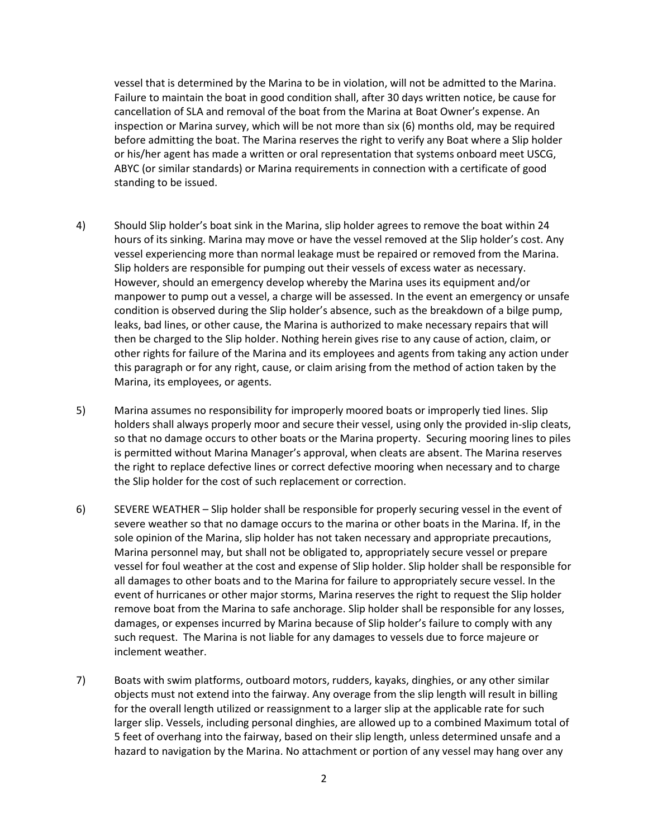vessel that is determined by the Marina to be in violation, will not be admitted to the Marina. Failure to maintain the boat in good condition shall, after 30 days written notice, be cause for cancellation of SLA and removal of the boat from the Marina at Boat Owner's expense. An inspection or Marina survey, which will be not more than six (6) months old, may be required before admitting the boat. The Marina reserves the right to verify any Boat where a Slip holder or his/her agent has made a written or oral representation that systems onboard meet USCG, ABYC (or similar standards) or Marina requirements in connection with a certificate of good standing to be issued.

- 4) Should Slip holder's boat sink in the Marina, slip holder agrees to remove the boat within 24 hours of its sinking. Marina may move or have the vessel removed at the Slip holder's cost. Any vessel experiencing more than normal leakage must be repaired or removed from the Marina. Slip holders are responsible for pumping out their vessels of excess water as necessary. However, should an emergency develop whereby the Marina uses its equipment and/or manpower to pump out a vessel, a charge will be assessed. In the event an emergency or unsafe condition is observed during the Slip holder's absence, such as the breakdown of a bilge pump, leaks, bad lines, or other cause, the Marina is authorized to make necessary repairs that will then be charged to the Slip holder. Nothing herein gives rise to any cause of action, claim, or other rights for failure of the Marina and its employees and agents from taking any action under this paragraph or for any right, cause, or claim arising from the method of action taken by the Marina, its employees, or agents.
- 5) Marina assumes no responsibility for improperly moored boats or improperly tied lines. Slip holders shall always properly moor and secure their vessel, using only the provided in-slip cleats, so that no damage occurs to other boats or the Marina property. Securing mooring lines to piles is permitted without Marina Manager's approval, when cleats are absent. The Marina reserves the right to replace defective lines or correct defective mooring when necessary and to charge the Slip holder for the cost of such replacement or correction.
- 6) SEVERE WEATHER Slip holder shall be responsible for properly securing vessel in the event of severe weather so that no damage occurs to the marina or other boats in the Marina. If, in the sole opinion of the Marina, slip holder has not taken necessary and appropriate precautions, Marina personnel may, but shall not be obligated to, appropriately secure vessel or prepare vessel for foul weather at the cost and expense of Slip holder. Slip holder shall be responsible for all damages to other boats and to the Marina for failure to appropriately secure vessel. In the event of hurricanes or other major storms, Marina reserves the right to request the Slip holder remove boat from the Marina to safe anchorage. Slip holder shall be responsible for any losses, damages, or expenses incurred by Marina because of Slip holder's failure to comply with any such request. The Marina is not liable for any damages to vessels due to force majeure or inclement weather.
- 7) Boats with swim platforms, outboard motors, rudders, kayaks, dinghies, or any other similar objects must not extend into the fairway. Any overage from the slip length will result in billing for the overall length utilized or reassignment to a larger slip at the applicable rate for such larger slip. Vessels, including personal dinghies, are allowed up to a combined Maximum total of 5 feet of overhang into the fairway, based on their slip length, unless determined unsafe and a hazard to navigation by the Marina. No attachment or portion of any vessel may hang over any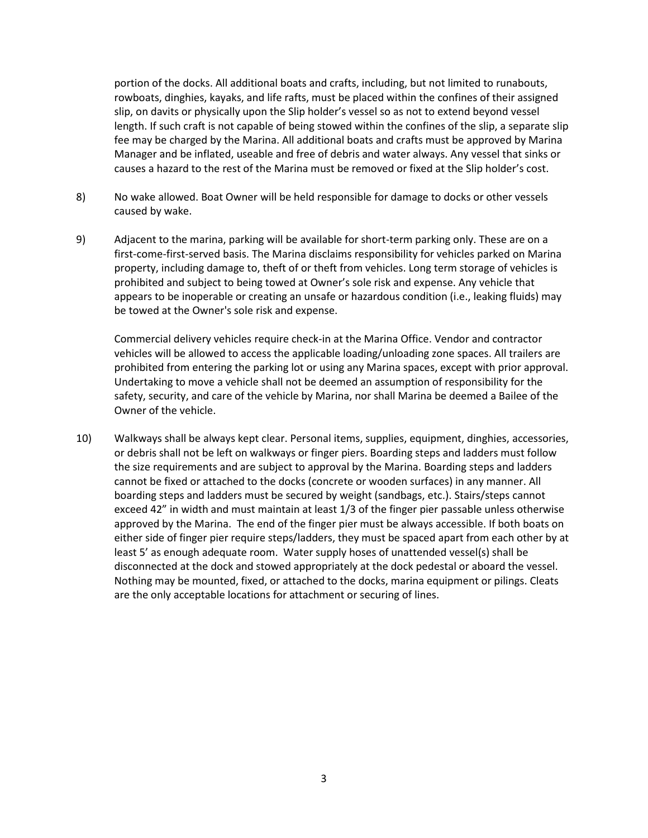portion of the docks. All additional boats and crafts, including, but not limited to runabouts, rowboats, dinghies, kayaks, and life rafts, must be placed within the confines of their assigned slip, on davits or physically upon the Slip holder's vessel so as not to extend beyond vessel length. If such craft is not capable of being stowed within the confines of the slip, a separate slip fee may be charged by the Marina. All additional boats and crafts must be approved by Marina Manager and be inflated, useable and free of debris and water always. Any vessel that sinks or causes a hazard to the rest of the Marina must be removed or fixed at the Slip holder's cost.

- 8) No wake allowed. Boat Owner will be held responsible for damage to docks or other vessels caused by wake.
- 9) Adjacent to the marina, parking will be available for short-term parking only. These are on a first-come-first-served basis. The Marina disclaims responsibility for vehicles parked on Marina property, including damage to, theft of or theft from vehicles. Long term storage of vehicles is prohibited and subject to being towed at Owner's sole risk and expense. Any vehicle that appears to be inoperable or creating an unsafe or hazardous condition (i.e., leaking fluids) may be towed at the Owner's sole risk and expense.

Commercial delivery vehicles require check-in at the Marina Office. Vendor and contractor vehicles will be allowed to access the applicable loading/unloading zone spaces. All trailers are prohibited from entering the parking lot or using any Marina spaces, except with prior approval. Undertaking to move a vehicle shall not be deemed an assumption of responsibility for the safety, security, and care of the vehicle by Marina, nor shall Marina be deemed a Bailee of the Owner of the vehicle.

10) Walkways shall be always kept clear. Personal items, supplies, equipment, dinghies, accessories, or debris shall not be left on walkways or finger piers. Boarding steps and ladders must follow the size requirements and are subject to approval by the Marina. Boarding steps and ladders cannot be fixed or attached to the docks (concrete or wooden surfaces) in any manner. All boarding steps and ladders must be secured by weight (sandbags, etc.). Stairs/steps cannot exceed 42" in width and must maintain at least 1/3 of the finger pier passable unless otherwise approved by the Marina. The end of the finger pier must be always accessible. If both boats on either side of finger pier require steps/ladders, they must be spaced apart from each other by at least 5' as enough adequate room. Water supply hoses of unattended vessel(s) shall be disconnected at the dock and stowed appropriately at the dock pedestal or aboard the vessel. Nothing may be mounted, fixed, or attached to the docks, marina equipment or pilings. Cleats are the only acceptable locations for attachment or securing of lines.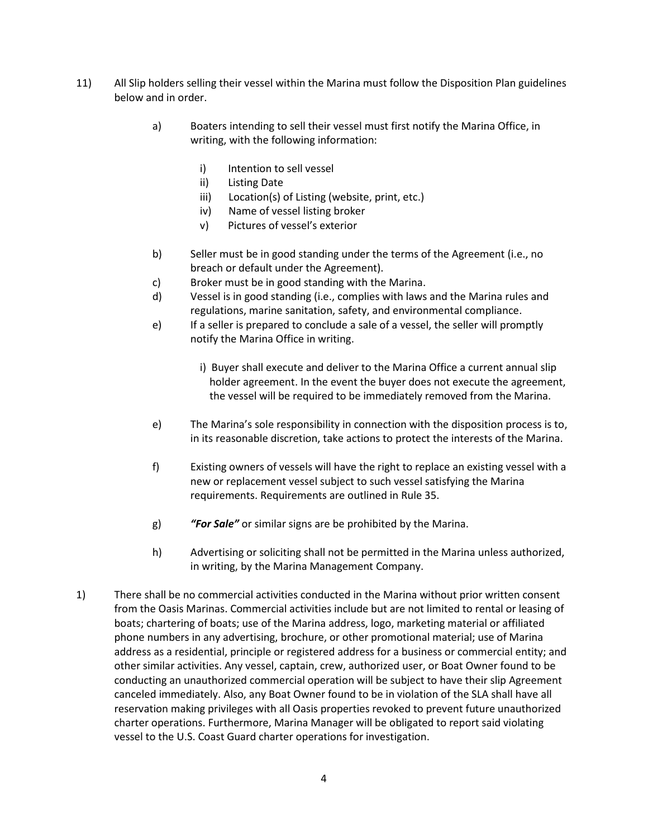- 11) All Slip holders selling their vessel within the Marina must follow the Disposition Plan guidelines below and in order.
	- a) Boaters intending to sell their vessel must first notify the Marina Office, in writing, with the following information:
		- i) Intention to sell vessel
		- ii) Listing Date
		- iii) Location(s) of Listing (website, print, etc.)
		- iv) Name of vessel listing broker
		- v) Pictures of vessel's exterior
	- b) Seller must be in good standing under the terms of the Agreement (i.e., no breach or default under the Agreement).
	- c) Broker must be in good standing with the Marina.
	- d) Vessel is in good standing (i.e., complies with laws and the Marina rules and regulations, marine sanitation, safety, and environmental compliance.
	- e) If a seller is prepared to conclude a sale of a vessel, the seller will promptly notify the Marina Office in writing.
		- i) Buyer shall execute and deliver to the Marina Office a current annual slip holder agreement. In the event the buyer does not execute the agreement, the vessel will be required to be immediately removed from the Marina.
	- e) The Marina's sole responsibility in connection with the disposition process is to, in its reasonable discretion, take actions to protect the interests of the Marina.
	- f) Existing owners of vessels will have the right to replace an existing vessel with a new or replacement vessel subject to such vessel satisfying the Marina requirements. Requirements are outlined in Rule 35.
	- g) *"For Sale"* or similar signs are be prohibited by the Marina.
	- h) Advertising or soliciting shall not be permitted in the Marina unless authorized, in writing, by the Marina Management Company.
- 1) There shall be no commercial activities conducted in the Marina without prior written consent from the Oasis Marinas. Commercial activities include but are not limited to rental or leasing of boats; chartering of boats; use of the Marina address, logo, marketing material or affiliated phone numbers in any advertising, brochure, or other promotional material; use of Marina address as a residential, principle or registered address for a business or commercial entity; and other similar activities. Any vessel, captain, crew, authorized user, or Boat Owner found to be conducting an unauthorized commercial operation will be subject to have their slip Agreement canceled immediately. Also, any Boat Owner found to be in violation of the SLA shall have all reservation making privileges with all Oasis properties revoked to prevent future unauthorized charter operations. Furthermore, Marina Manager will be obligated to report said violating vessel to the U.S. Coast Guard charter operations for investigation.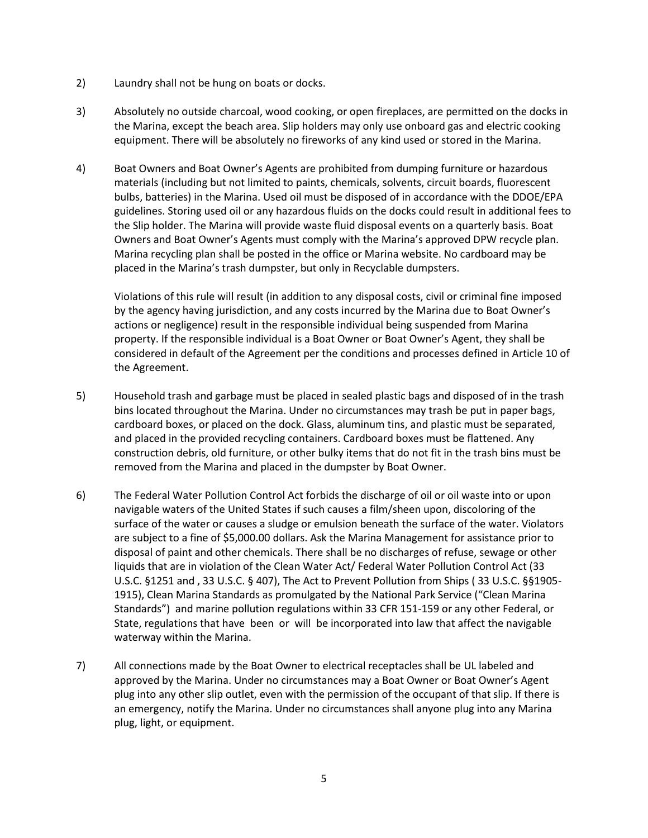- 2) Laundry shall not be hung on boats or docks.
- 3) Absolutely no outside charcoal, wood cooking, or open fireplaces, are permitted on the docks in the Marina, except the beach area. Slip holders may only use onboard gas and electric cooking equipment. There will be absolutely no fireworks of any kind used or stored in the Marina.
- 4) Boat Owners and Boat Owner's Agents are prohibited from dumping furniture or hazardous materials (including but not limited to paints, chemicals, solvents, circuit boards, fluorescent bulbs, batteries) in the Marina. Used oil must be disposed of in accordance with the DDOE/EPA guidelines. Storing used oil or any hazardous fluids on the docks could result in additional fees to the Slip holder. The Marina will provide waste fluid disposal events on a quarterly basis. Boat Owners and Boat Owner's Agents must comply with the Marina's approved DPW recycle plan. Marina recycling plan shall be posted in the office or Marina website. No cardboard may be placed in the Marina's trash dumpster, but only in Recyclable dumpsters.

Violations of this rule will result (in addition to any disposal costs, civil or criminal fine imposed by the agency having jurisdiction, and any costs incurred by the Marina due to Boat Owner's actions or negligence) result in the responsible individual being suspended from Marina property. If the responsible individual is a Boat Owner or Boat Owner's Agent, they shall be considered in default of the Agreement per the conditions and processes defined in Article 10 of the Agreement.

- 5) Household trash and garbage must be placed in sealed plastic bags and disposed of in the trash bins located throughout the Marina. Under no circumstances may trash be put in paper bags, cardboard boxes, or placed on the dock. Glass, aluminum tins, and plastic must be separated, and placed in the provided recycling containers. Cardboard boxes must be flattened. Any construction debris, old furniture, or other bulky items that do not fit in the trash bins must be removed from the Marina and placed in the dumpster by Boat Owner.
- 6) The Federal Water Pollution Control Act forbids the discharge of oil or oil waste into or upon navigable waters of the United States if such causes a film/sheen upon, discoloring of the surface of the water or causes a sludge or emulsion beneath the surface of the water. Violators are subject to a fine of \$5,000.00 dollars. Ask the Marina Management for assistance prior to disposal of paint and other chemicals. There shall be no discharges of refuse, sewage or other liquids that are in violation of the Clean Water Act/ Federal Water Pollution Control Act (33 U.S.C. §1251 and , 33 U.S.C. § 407), The Act to Prevent Pollution from Ships ( 33 U.S.C. §§1905- 1915), Clean Marina Standards as promulgated by the National Park Service ("Clean Marina Standards") and marine pollution regulations within 33 CFR 151-159 or any other Federal, or State, regulations that have been or will be incorporated into law that affect the navigable waterway within the Marina.
- 7) All connections made by the Boat Owner to electrical receptacles shall be UL labeled and approved by the Marina. Under no circumstances may a Boat Owner or Boat Owner's Agent plug into any other slip outlet, even with the permission of the occupant of that slip. If there is an emergency, notify the Marina. Under no circumstances shall anyone plug into any Marina plug, light, or equipment.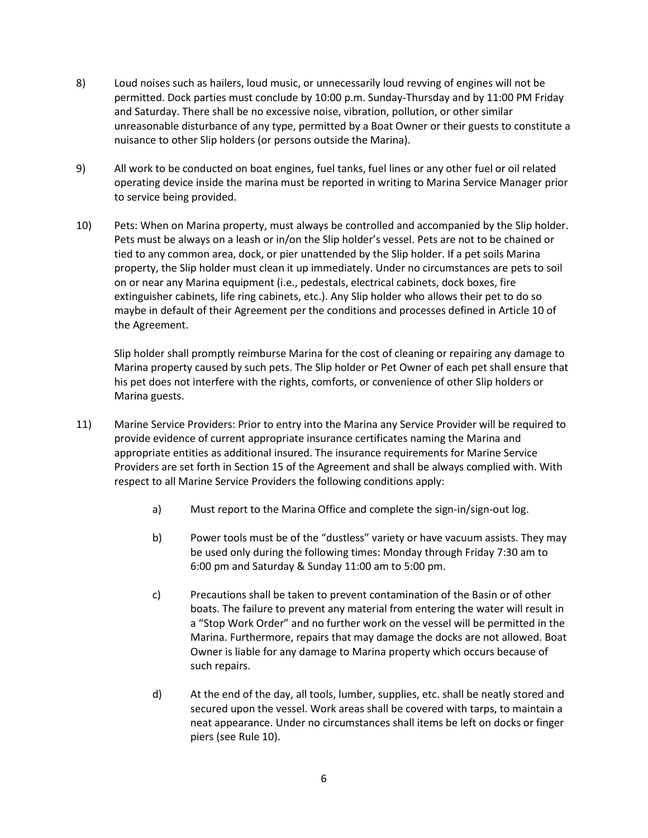- 8) Loud noises such as hailers, loud music, or unnecessarily loud revving of engines will not be permitted. Dock parties must conclude by 10:00 p.m. Sunday-Thursday and by 11:00 PM Friday and Saturday. There shall be no excessive noise, vibration, pollution, or other similar unreasonable disturbance of any type, permitted by a Boat Owner or their guests to constitute a nuisance to other Slip holders (or persons outside the Marina).
- 9) All work to be conducted on boat engines, fuel tanks, fuel lines or any other fuel or oil related operating device inside the marina must be reported in writing to Marina Service Manager prior to service being provided.
- 10) Pets: When on Marina property, must always be controlled and accompanied by the Slip holder. Pets must be always on a leash or in/on the Slip holder's vessel. Pets are not to be chained or tied to any common area, dock, or pier unattended by the Slip holder. If a pet soils Marina property, the Slip holder must clean it up immediately. Under no circumstances are pets to soil on or near any Marina equipment (i.e., pedestals, electrical cabinets, dock boxes, fire extinguisher cabinets, life ring cabinets, etc.). Any Slip holder who allows their pet to do so maybe in default of their Agreement per the conditions and processes defined in Article 10 of the Agreement.

Slip holder shall promptly reimburse Marina for the cost of cleaning or repairing any damage to Marina property caused by such pets. The Slip holder or Pet Owner of each pet shall ensure that his pet does not interfere with the rights, comforts, or convenience of other Slip holders or Marina guests.

- 11) Marine Service Providers: Prior to entry into the Marina any Service Provider will be required to provide evidence of current appropriate insurance certificates naming the Marina and appropriate entities as additional insured. The insurance requirements for Marine Service Providers are set forth in Section 15 of the Agreement and shall be always complied with. With respect to all Marine Service Providers the following conditions apply:
	- a) Must report to the Marina Office and complete the sign-in/sign-out log.
	- b) Power tools must be of the "dustless" variety or have vacuum assists. They may be used only during the following times: Monday through Friday 7:30 am to 6:00 pm and Saturday & Sunday 11:00 am to 5:00 pm.
	- c) Precautions shall be taken to prevent contamination of the Basin or of other boats. The failure to prevent any material from entering the water will result in a "Stop Work Order" and no further work on the vessel will be permitted in the Marina. Furthermore, repairs that may damage the docks are not allowed. Boat Owner is liable for any damage to Marina property which occurs because of such repairs.
	- d) At the end of the day, all tools, lumber, supplies, etc. shall be neatly stored and secured upon the vessel. Work areas shall be covered with tarps, to maintain a neat appearance. Under no circumstances shall items be left on docks or finger piers (see Rule 10).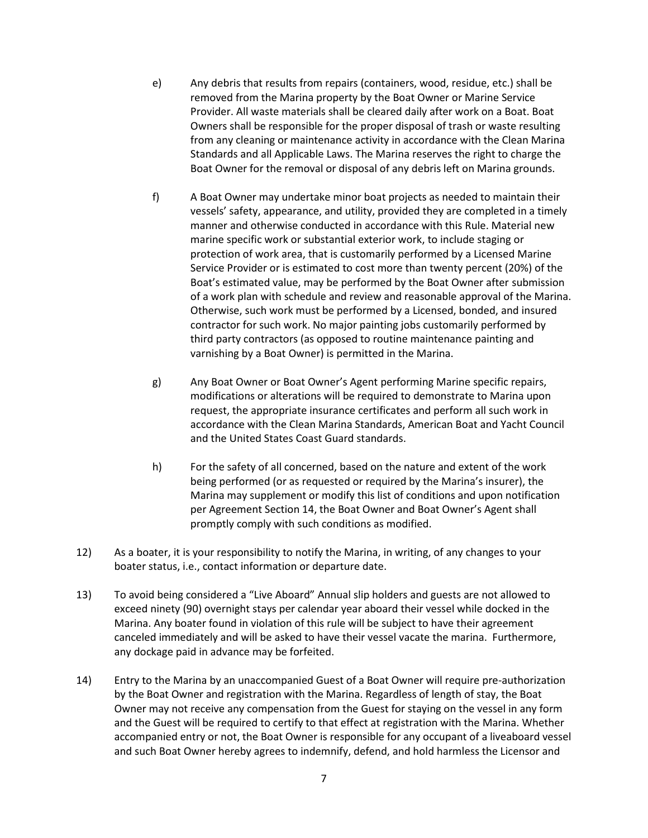- e) Any debris that results from repairs (containers, wood, residue, etc.) shall be removed from the Marina property by the Boat Owner or Marine Service Provider. All waste materials shall be cleared daily after work on a Boat. Boat Owners shall be responsible for the proper disposal of trash or waste resulting from any cleaning or maintenance activity in accordance with the Clean Marina Standards and all Applicable Laws. The Marina reserves the right to charge the Boat Owner for the removal or disposal of any debris left on Marina grounds.
- f) A Boat Owner may undertake minor boat projects as needed to maintain their vessels' safety, appearance, and utility, provided they are completed in a timely manner and otherwise conducted in accordance with this Rule. Material new marine specific work or substantial exterior work, to include staging or protection of work area, that is customarily performed by a Licensed Marine Service Provider or is estimated to cost more than twenty percent (20%) of the Boat's estimated value, may be performed by the Boat Owner after submission of a work plan with schedule and review and reasonable approval of the Marina. Otherwise, such work must be performed by a Licensed, bonded, and insured contractor for such work. No major painting jobs customarily performed by third party contractors (as opposed to routine maintenance painting and varnishing by a Boat Owner) is permitted in the Marina.
- g) Any Boat Owner or Boat Owner's Agent performing Marine specific repairs, modifications or alterations will be required to demonstrate to Marina upon request, the appropriate insurance certificates and perform all such work in accordance with the Clean Marina Standards, American Boat and Yacht Council and the United States Coast Guard standards.
- h) For the safety of all concerned, based on the nature and extent of the work being performed (or as requested or required by the Marina's insurer), the Marina may supplement or modify this list of conditions and upon notification per Agreement Section 14, the Boat Owner and Boat Owner's Agent shall promptly comply with such conditions as modified.
- 12) As a boater, it is your responsibility to notify the Marina, in writing, of any changes to your boater status, i.e., contact information or departure date.
- 13) To avoid being considered a "Live Aboard" Annual slip holders and guests are not allowed to exceed ninety (90) overnight stays per calendar year aboard their vessel while docked in the Marina. Any boater found in violation of this rule will be subject to have their agreement canceled immediately and will be asked to have their vessel vacate the marina. Furthermore, any dockage paid in advance may be forfeited.
- 14) Entry to the Marina by an unaccompanied Guest of a Boat Owner will require pre-authorization by the Boat Owner and registration with the Marina. Regardless of length of stay, the Boat Owner may not receive any compensation from the Guest for staying on the vessel in any form and the Guest will be required to certify to that effect at registration with the Marina. Whether accompanied entry or not, the Boat Owner is responsible for any occupant of a liveaboard vessel and such Boat Owner hereby agrees to indemnify, defend, and hold harmless the Licensor and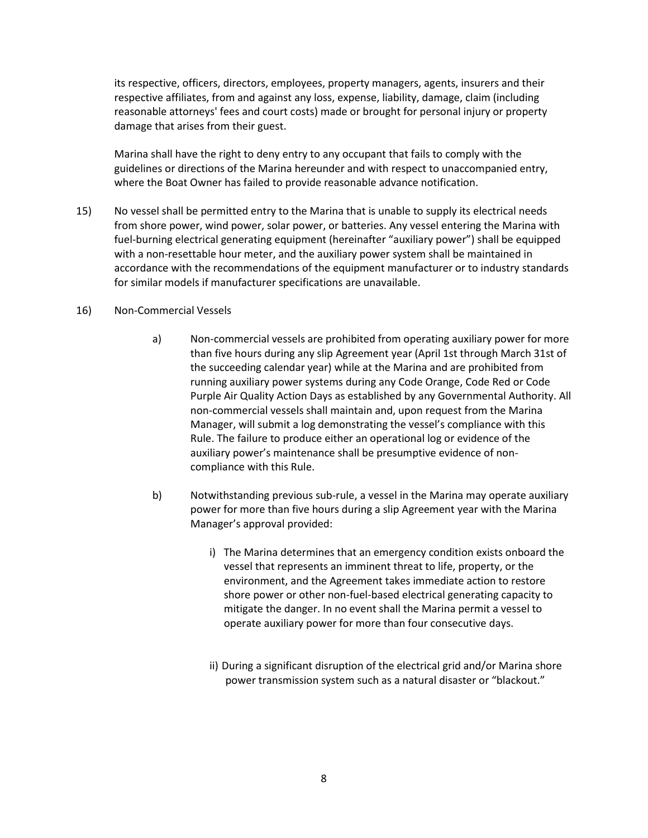its respective, officers, directors, employees, property managers, agents, insurers and their respective affiliates, from and against any loss, expense, liability, damage, claim (including reasonable attorneys' fees and court costs) made or brought for personal injury or property damage that arises from their guest.

Marina shall have the right to deny entry to any occupant that fails to comply with the guidelines or directions of the Marina hereunder and with respect to unaccompanied entry, where the Boat Owner has failed to provide reasonable advance notification.

15) No vessel shall be permitted entry to the Marina that is unable to supply its electrical needs from shore power, wind power, solar power, or batteries. Any vessel entering the Marina with fuel-burning electrical generating equipment (hereinafter "auxiliary power") shall be equipped with a non-resettable hour meter, and the auxiliary power system shall be maintained in accordance with the recommendations of the equipment manufacturer or to industry standards for similar models if manufacturer specifications are unavailable.

## 16) Non-Commercial Vessels

- a) Non-commercial vessels are prohibited from operating auxiliary power for more than five hours during any slip Agreement year (April 1st through March 31st of the succeeding calendar year) while at the Marina and are prohibited from running auxiliary power systems during any Code Orange, Code Red or Code Purple Air Quality Action Days as established by any Governmental Authority. All non-commercial vessels shall maintain and, upon request from the Marina Manager, will submit a log demonstrating the vessel's compliance with this Rule. The failure to produce either an operational log or evidence of the auxiliary power's maintenance shall be presumptive evidence of noncompliance with this Rule.
- b) Notwithstanding previous sub-rule, a vessel in the Marina may operate auxiliary power for more than five hours during a slip Agreement year with the Marina Manager's approval provided:
	- i) The Marina determines that an emergency condition exists onboard the vessel that represents an imminent threat to life, property, or the environment, and the Agreement takes immediate action to restore shore power or other non-fuel-based electrical generating capacity to mitigate the danger. In no event shall the Marina permit a vessel to operate auxiliary power for more than four consecutive days.
	- ii) During a significant disruption of the electrical grid and/or Marina shore power transmission system such as a natural disaster or "blackout."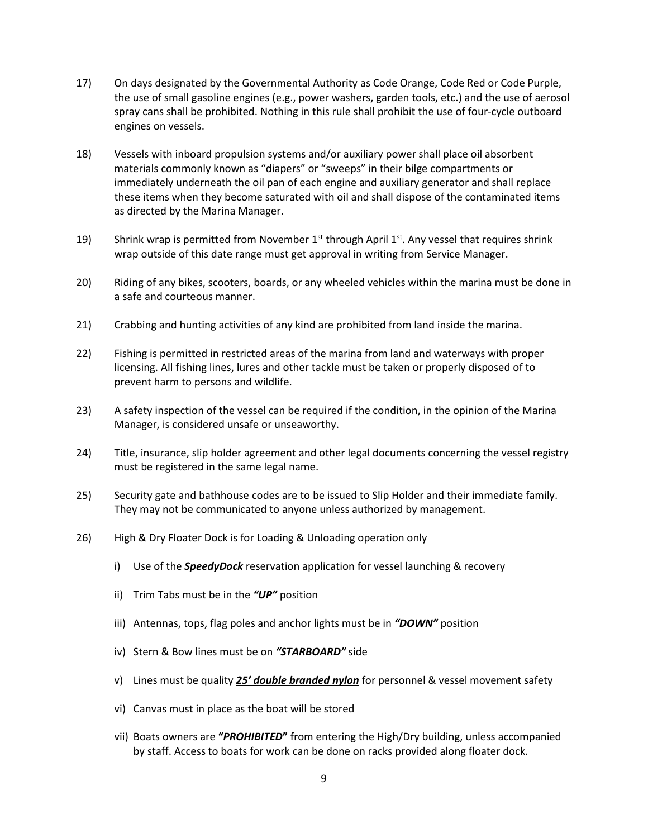- 17) On days designated by the Governmental Authority as Code Orange, Code Red or Code Purple, the use of small gasoline engines (e.g., power washers, garden tools, etc.) and the use of aerosol spray cans shall be prohibited. Nothing in this rule shall prohibit the use of four-cycle outboard engines on vessels.
- 18) Vessels with inboard propulsion systems and/or auxiliary power shall place oil absorbent materials commonly known as "diapers" or "sweeps" in their bilge compartments or immediately underneath the oil pan of each engine and auxiliary generator and shall replace these items when they become saturated with oil and shall dispose of the contaminated items as directed by the Marina Manager.
- 19) Shrink wrap is permitted from November  $1<sup>st</sup>$  through April  $1<sup>st</sup>$ . Any vessel that requires shrink wrap outside of this date range must get approval in writing from Service Manager.
- 20) Riding of any bikes, scooters, boards, or any wheeled vehicles within the marina must be done in a safe and courteous manner.
- 21) Crabbing and hunting activities of any kind are prohibited from land inside the marina.
- 22) Fishing is permitted in restricted areas of the marina from land and waterways with proper licensing. All fishing lines, lures and other tackle must be taken or properly disposed of to prevent harm to persons and wildlife.
- 23) A safety inspection of the vessel can be required if the condition, in the opinion of the Marina Manager, is considered unsafe or unseaworthy.
- 24) Title, insurance, slip holder agreement and other legal documents concerning the vessel registry must be registered in the same legal name.
- 25) Security gate and bathhouse codes are to be issued to Slip Holder and their immediate family. They may not be communicated to anyone unless authorized by management.
- 26) High & Dry Floater Dock is for Loading & Unloading operation only
	- i) Use of the *SpeedyDock* reservation application for vessel launching & recovery
	- ii) Trim Tabs must be in the *"UP"* position
	- iii) Antennas, tops, flag poles and anchor lights must be in *"DOWN"* position
	- iv) Stern & Bow lines must be on *"STARBOARD"* side
	- v) Lines must be quality *25' double branded nylon* for personnel & vessel movement safety
	- vi) Canvas must in place as the boat will be stored
	- vii) Boats owners are **"***PROHIBITED***"** from entering the High/Dry building, unless accompanied by staff. Access to boats for work can be done on racks provided along floater dock.